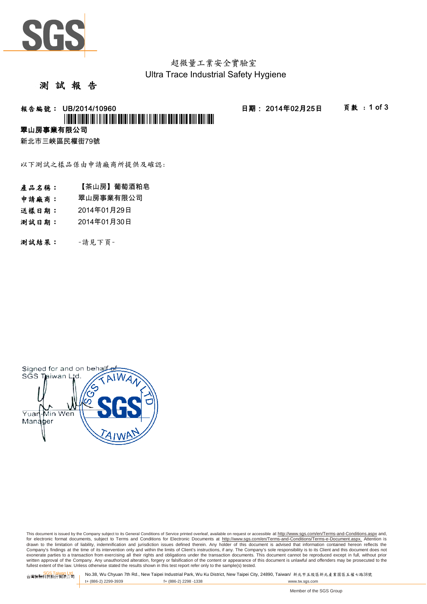

超微量工業安全實驗室 Ultra Trace Industrial Safety Hygiene

#### 測 試 報 告

# 報告編號: UB/2014/10960 日期: 2014年02月25日 頁數 : 1 of 3 \*UBOT MEM HOLL II NE HEN EEN HEN HEN LIJ NEI HEN E

# 翠山房事業有限公司

新北市三峽區民權街79號

以下測試之樣品係由申請廠商所提供及確認:

- 產品名稱: 【茶山房】葡萄酒粕皂
- 申請廠商: 翠山房事業有限公司
- 送樣日期: 2014年01月29日
- 測試日期: 2014年01月30日
- 測試結果: -請見下頁-



This document is issued by the Company subject to its General Conditions of Service printed overleaf, available on request or accessible at http://www.sqs.com/en/Terms-and-Conditions.aspx and, for electronic format documents, subject to Terms and Conditions for Electronic Documents at http://www.sgs.com/en/Terms-and-Conditions/Terms-e-Document.aspx. Attention is drawn to the limitation of liability, indemnification and jurisdiction issues defined therein. Any holder of this document is advised that information contained hereon reflects the<br>Company's findings at the time of its int exonerate parties to a transaction from exercising all their rights and obligations under the transaction documents. This document cannot be reproduced except in full, without prior written approval of the Company. Any unauthorized alteration, forgery or falsification of the content or appearance of this document is unlawful and offenders may be prosecuted to the<br>fullest extent of the law. Unless othe

SGS Taiwan Ltd. No.38, Wu Chyuan 7th Rd., New Taipei Industrial Park, Wu Ku District, New Taipei City, 24890, Taiwan/ 新北市五股區新北產業園區五權七路38號<br>| t+ (886-2) 2299-3939 f+ (886-2) 2298 -1338 www.tw. t+ (886-2) 2299-3939 f+ (886-2) 2298 -1338 www.tw.sgs.com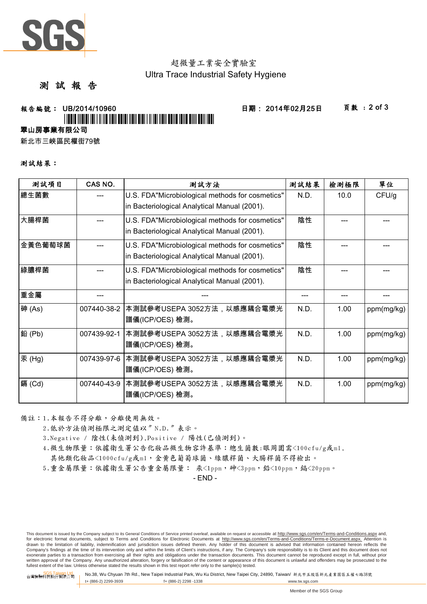

# 超微量工業安全實驗室 Ultra Trace Industrial Safety Hygiene

### 測 試 報 告

# \*UB/2014/10960\*

報告編號: UB/2014/10960 日期: 2014年02月25日 頁數 : 2 of 3

翠山房事業有限公司

新北市三峽區民權街79號

#### 測試結果:

| 測試項目    | CAS NO.     | 測試方法                                                                                            | 測試結果 | 檢測極限 | 單位         |
|---------|-------------|-------------------------------------------------------------------------------------------------|------|------|------------|
| 總生菌數    |             | U.S. FDA"Microbiological methods for cosmetics"<br>in Bacteriological Analytical Manual (2001). | N.D. | 10.0 | CFU/g      |
| 大腸桿菌    |             | U.S. FDA"Microbiological methods for cosmetics"<br>in Bacteriological Analytical Manual (2001). | 陰性   |      |            |
| 金黃色葡萄球菌 |             | U.S. FDA"Microbiological methods for cosmetics"<br>in Bacteriological Analytical Manual (2001). | 陰性   |      |            |
| 綠膿桿菌    |             | U.S. FDA"Microbiological methods for cosmetics"<br>in Bacteriological Analytical Manual (2001). | 陰性   |      |            |
| 重金屬     |             |                                                                                                 |      |      |            |
| 砷(As)   | 007440-38-2 | 本測試參考USEPA 3052方法,以感應耦合電漿光<br>譜儀(ICP/OES) 檢測。                                                   | N.D. | 1.00 | ppm(mg/kg) |
| 鉛(Pb)   | 007439-92-1 | 本測試參考USEPA 3052方法,以感應耦合電漿光<br>譜儀(ICP/OES) 檢測。                                                   | N.D. | 1.00 | ppm(mg/kg) |
| 汞(Hg)   | 007439-97-6 | 本測試參考USEPA 3052方法,以感應耦合電漿光<br>譜儀(ICP/OES) 檢測。                                                   | N.D. | 1.00 | ppm(mg/kg) |
| 鎘 (Cd)  | 007440-43-9 | 本測試參考USEPA 3052方法,以感應耦合電漿光<br>譜儀(ICP/OES) 檢測。                                                   | N.D. | 1.00 | ppm(mg/kg) |

備註:1.本報告不得分離,分離使用無效。

- 2.低於方法偵測極限之測定值以〞N.D.〞表示。
- 3.Negative / 陰性(未偵測到),Positive / 陽性(已偵測到)。
- 4.微生物限量:依據衛生署公告化妝品微生物容許基準:總生菌數:眼周圍需<100cfu/g或ml,
- 其他類化妝品<1000cfu/g或ml,金黃色葡萄球菌、綠膿桿菌、大腸桿菌不得檢出。
- 5.重金屬限量:依據衛生署公告重金屬限量: 汞<1ppm, 砷<3ppm, 鉛<10ppm, 鎬<20ppm。

- END -

This document is issued by the Company subject to its General Conditions of Service printed overleaf, available on request or accessible at http://www.sgs.com/en/Terms-and-Conditions.aspx and, for electronic format documents, subject to Terms and Conditions for Electronic Documents at http://www.sgs.com/en/Terms-and-Conditions/Terms-e-Document.aspx. Attention is drawn to the limitation of liability, indemnification and jurisdiction issues defined therein. Any holder of this document is advised that information contained hereon reflects the<br>Company's findings at the time of its int exonerate parties to a transaction from exercising all their rights and obligations under the transaction documents. This document cannot be reproduced except in full, without prior written approval of the Company. Any unauthorized alteration, forgery or falsification of the content or appearance of this document is unlawful and offenders may be prosecuted to the<br>fullest extent of the law. Unless othe